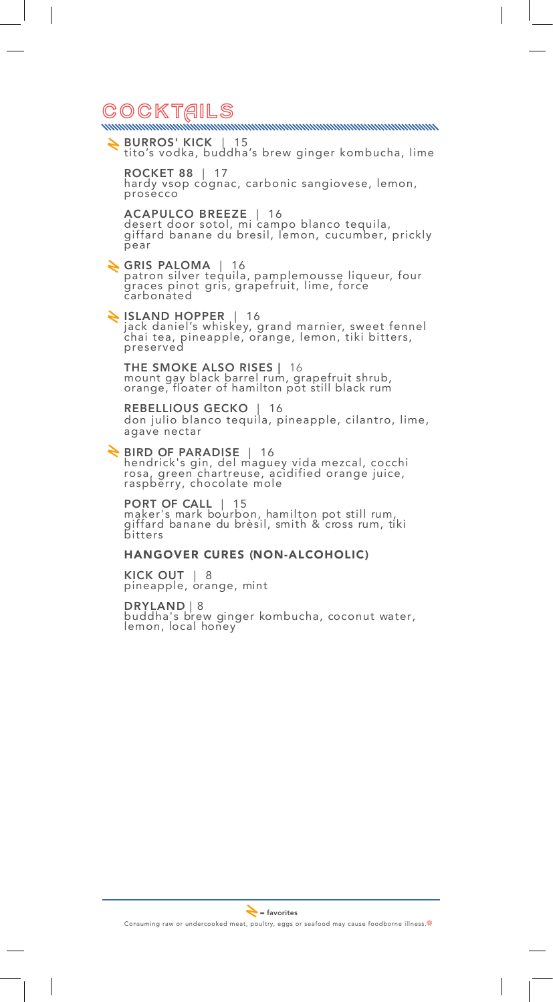# CocktAils

BURROS' KICK | 15 tito's vodka, buddha's brew ginger kombucha, lime

ROCKET 88 | 17 hardy vsop cognac, carbonic sangiovese, lemon, prosecco

ACAPULCO BREEZE | 16 desert door sotol, mi campo blanco tequila, giffard banane du bresil, lemon, cucumber, prickly pear

GRIS PALOMA | 16 patron silver tequila, pamplemousse liqueur, four graces pinot gris, grapefruit, lime, force carbonated

ISLAND HOPPER | 16 jack daniel's whiskey, grand marnier, sweet fennel chai tea, pineapple, orange, lemon, tiki bitters, preserved

THE SMOKE ALSO RISES | 16 mount gay black barrel rum, grapefruit shrub, orange, floater of hamilton pot still black rum

REBELLIOUS GECKO | 16 don julio blanco tequila, pineapple, cilantro, lime, agave nectar

BIRD OF PARADISE | 16 hendrick's gin, del maguey vida mezcal, cocchi rosa, green chartreuse, acidified orange juice, raspberry, chocolate mole

PORT OF CALL | 15 maker's mark bourbon, hamilton pot still rum, giffard banane du brèsil, smith & cross rum, tiki bitters

### HANGOVER CURES (NON-ALCOHOLIC)

KICK OUT | 8 pineapple, orange, mint

DRYLAND | 8 buddha's brew ginger kombucha, coconut water, lemon, local honey

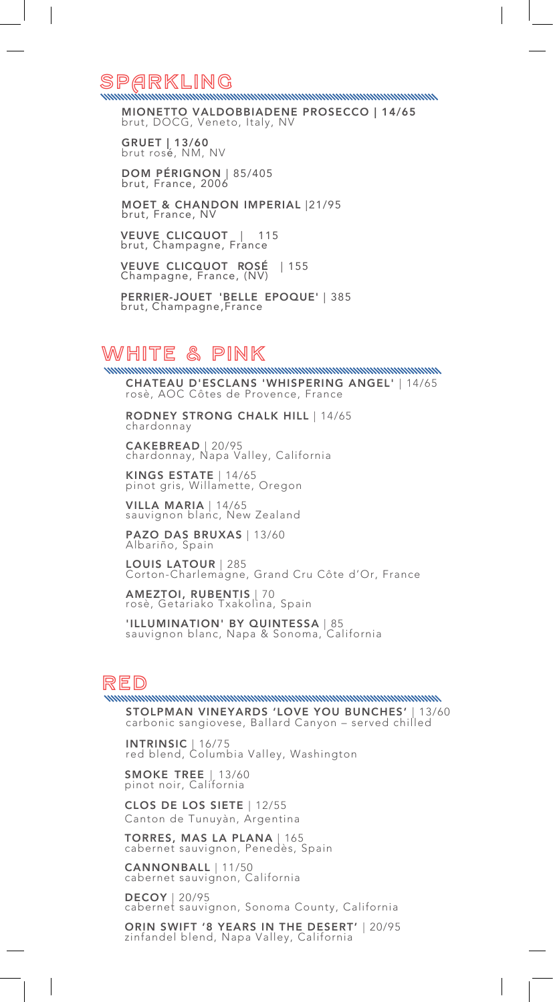## SPARKLING

MIONETTO VALDOBBIADENE PROSECCO | 14/65 brut, DOCG, Veneto, Italy, NV

GRUET | 13/60 brut rosé, NM, NV

DOM PÉRIGNON | 85/405 brut, France, 2006

MOET & CHANDON IMPERIAL |21/95 brut, France, NV

VEUVE CLICQUOT | 115 brut, Champagne, France

VEUVE CLICQUOT ROSÉ | 155 Champagne, France, (NV)

PERRIER-JOUET 'BELLE EPOQUE' | 385 brut, Champagne,France

# White & pink

CHATEAU D'ESCLANS 'WHISPERING ANGEL' | 14/65 rosè, AOC Côtes de Provence, France

RODNEY STRONG CHALK HILL | 14/65 chardonnay

CAKEBREAD | 20/95 chardonnay, Napa Valley, California

KINGS ESTATE | 14/65 pinot gris, Willamette, Oregon

VILLA MARIA | 14/65 sauvignon blanc, New Zealand

PAZO DAS BRUXAS | 13/60 Albariño, Spain

LOUIS LATOUR | 285 Corton-Charlemagne, Grand Cru Côte d'Or, France

**AMEZTOI, RUBENTIS** | 70<br>rosè, Getariako Txakolina, Spain

'ILLUMINATION' BY QUINTESSA | 85 sauvignon blanc, Napa & Sonoma, California

RED<br>RED

STOLPMAN VINEYARDS 'LOVE YOU BUNCHES' | 13/60 carbonic sangiovese, Ballard Canyon – served chilled

**INTRINSIC** | 16/75<br>red blend, Columbia Valley, Washington

SMOKE TREE | 13/60 pinot noir, California

CLOS DE LOS SIETE | 12/55 Canton de Tunuyàn, Argentina

TORRES, MAS LA PLANA | 165 cabernet sauvignon, Penedès, Spain

CANNONBALL | 11/50 cabernet sauvignon, California

DECOY | 20/95 cabernet sauvignon, Sonoma County, California

ORIN SWIFT '8 YEARS IN THE DESERT' | 20/95 zinfandel blend, Napa Valley, California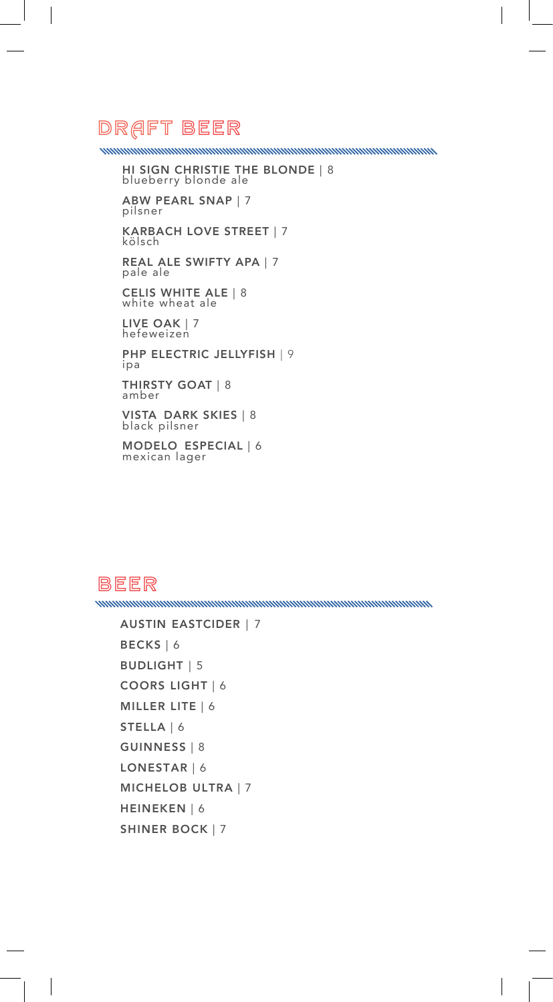### DRAFT Beer

<u>MINIMINIMINIMINIMINIMINIMINIMINIMINI</u>

 $\overline{\phantom{a}}$ 

HI SIGN CHRISTIE THE BLONDE | 8 blueberry blonde ale

ABW PEARL SNAP | 7 pilsner

KARBACH LOVE STREET | 7 kölsch

REAL ALE SWIFTY APA | 7 pale ale

CELIS WHITE ALE | 8 white wheat ale

LIVE OAK | 7 hefeweizen

PHP ELECTRIC JELLYFISH | 9 ipa THIRSTY GOAT | 8 amber

VISTA DARK SKIES | 8 black pilsner

MODELO ESPECIAL | 6 mexican lager

### BEER

 $\overline{\phantom{a}}$ 

```
AUSTIN EASTCIDER | 7
BECKS | 6
BUDLIGHT | 5 
COORS LIGHT | 6
MILLER LITE | 6
STELLA | 6
GUINNESS | 8
LONESTAR | 6
MICHELOB ULTRA | 7
HEINEKEN | 6
SHINER BOCK | 7
```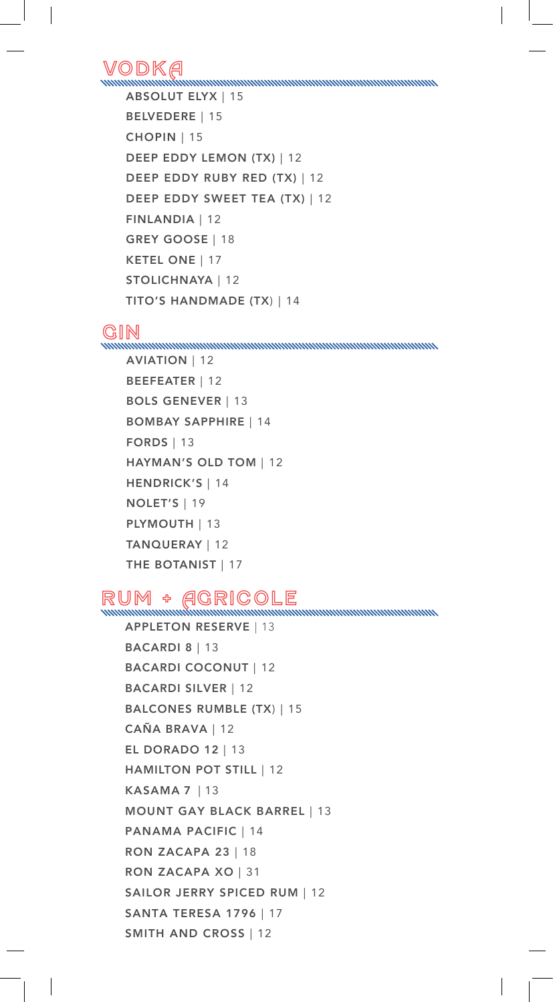VodkA

```
ABSOLUT ELYX | 15
BELVEDERE | 15
CHOPIN | 15
DEEP EDDY LEMON (TX) | 12
DEEP EDDY RUBY RED (TX) | 12
DEEP EDDY SWEET TEA (TX) | 12
FINLANDIA | 12
GREY GOOSE | 18
KETEL ONE | 17
STOLICHNAYA | 12
TITO'S HANDMADE (TX) | 14
```
Gin

AVIATION | 12 BEEFEATER | 12 BOLS GENEVER | 13 BOMBAY SAPPHIRE | 14 FORDS | 13 HAYMAN'S OLD TOM | 12 HENDRICK'S | 14 NOLET'S | 19 PLYMOUTH | 13 TANQUERAY | 12 THE BOTANIST | 17

RUM + AGRICOLE

APPLETON RESERVE | 13 BACARDI 8 | 13 BACARDI COCONUT | 12 BACARDI SILVER | 12 BALCONES RUMBLE (TX) | 15 CAÑA BRAVA | 12 EL DORADO 12 | 13 HAMILTON POT STILL | 12 KASAMA 7 | 13 MOUNT GAY BLACK BARREL | 13 PANAMA PACIFIC | 14 RON ZACAPA 23 | 18 RON ZACAPA XO | 31 SAILOR JERRY SPICED RUM | 12 SANTA TERESA 1796 | 17 SMITH AND CROSS | 12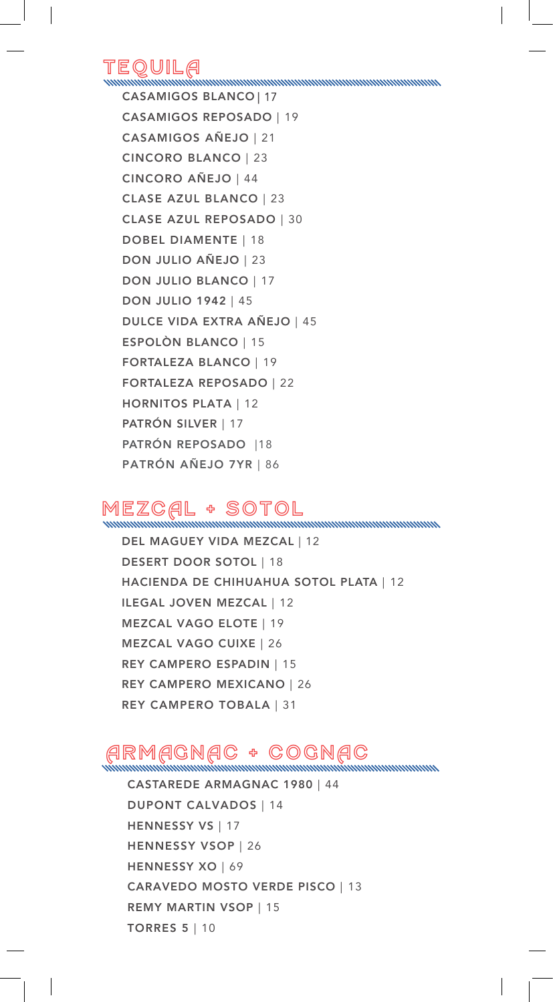## TequilA

CASAMIGOS BLANCO | 17 CASAMIGOS REPOSADO | 19 CASAMIGOS AÑEJO | 21 CINCORO BLANCO | 23 CINCORO AÑEJO | 44 CLASE AZUL BLANCO | 23 CLASE AZUL REPOSADO | 30 DOBEL DIAMENTE | 18 DON JULIO AÑEJO | 23 DON JULIO BLANCO | 17 DON JULIO 1942 | 45 DULCE VIDA EXTRA AÑEJO | 45 ESPOLÒN BLANCO | 15 FORTALEZA BLANCO | 19 FORTALEZA REPOSADO | 22 HORNITOS PLATA | 12 PATRÓN SILVER | 17 PATRÓN REPOSADO |18 PATRÓN AÑEJO 7YR | 86

## MEZCAL + SOTOL

DEL MAGUEY VIDA MEZCAL | 12 DESERT DOOR SOTOL | 18 HACIENDA DE CHIHUAHUA SOTOL PLATA | 12 ILEGAL JOVEN MEZCAL | 12 MEZCAL VAGO ELOTE | 19 MEZCAL VAGO CUIXE | 26 REY CAMPERO ESPADIN | 15 REY CAMPERO MEXICANO | 26 REY CAMPERO TOBALA | 31

## ARMAGNAC + COGNAC<br>ARMAGNAC + COGNAC

CASTAREDE ARMAGNAC 1980 | 44 DUPONT CALVADOS | 14 HENNESSY VS | 17 HENNESSY VSOP | 26 HENNESSY XO | 69 CARAVEDO MOSTO VERDE PISCO | 13 REMY MARTIN VSOP | 15 TORRES 5 | 10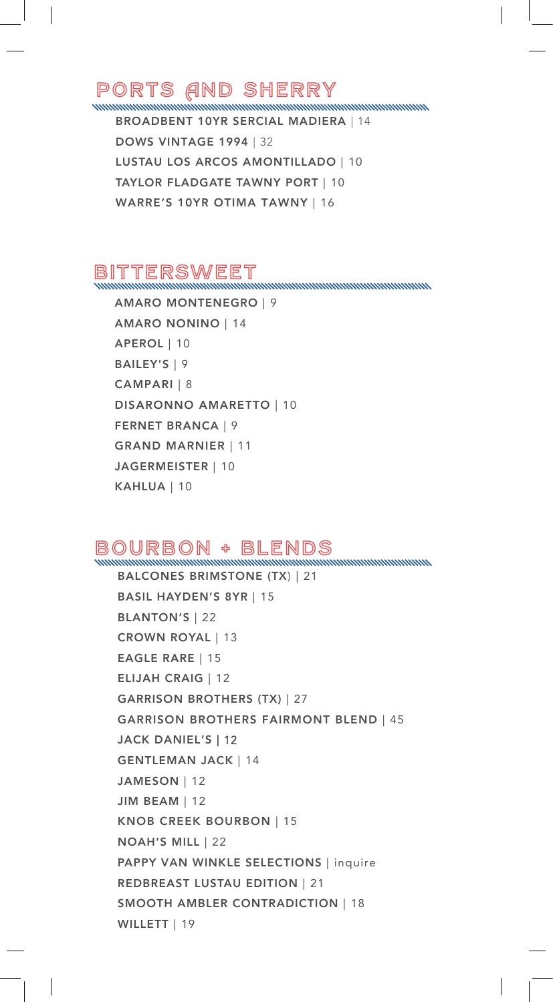# PORTS AND SHERRY

BROADBENT 10YR SERCIAL MADIERA | 14 DOWS VINTAGE 1994 | 32 LUSTAU LOS ARCOS AMONTILLADO | 10 TAYLOR FLADGATE TAWNY PORT | 10 WARRE'S 10YR OTIMA TAWNY | 16

### BITTERSWEET

<u>mmmmmmmmmmmmmmmm</u>

AMARO MONTENEGRO | 9 AMARO NONINO | 14 APEROL | 10 BAILEY'S | 9 CAMPARI | 8 DISARONNO AMARETTO | 10 FERNET BRANCA | 9 GRAND MARNIER | 11 JAGERMEISTER | 10 KAHLUA | 10

### BOURBON + BLENDS<br>BOURBON + BLENDS

BALCONES BRIMSTONE (TX) | 21 BASIL HAYDEN'S 8YR | 15 BLANTON'S | 22 CROWN ROYAL | 13 EAGLE RARE | 15 ELIJAH CRAIG | 12 GARRISON BROTHERS (TX) | 27 GARRISON BROTHERS FAIRMONT BLEND | 45 JACK DANIEL'S | 12 GENTLEMAN JACK | 14 JAMESON | 12 JIM BEAM | 12 KNOB CREEK BOURBON | 15 NOAH'S MILL | 22 PAPPY VAN WINKLE SELECTIONS | inquire REDBREAST LUSTAU EDITION | 21 SMOOTH AMBLER CONTRADICTION | 18 WILLETT | 19